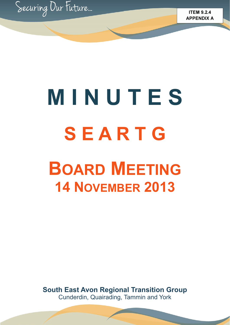

# **M I N U T E S S E A R T G BOARD MEETING 14 NOVEMBER 2013**

**South East Avon Regional Transition Group**  Cunderdin, Quairading, Tammin and York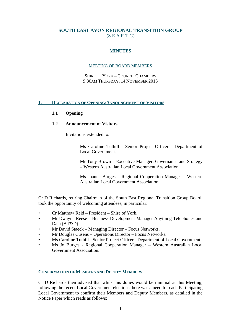# **SOUTH EAST AVON REGIONAL TRANSITION GROUP**   $(S E A R T G)$

# **MINUTES**

# MEETING OF BOARD MEMBERS

SHIRE OF YORK – COUNCIL CHAMBERS 9:30AM THURSDAY, 14 NOVEMBER 2013

# **1. DECLARATION OF OPENING/ANNOUNCEMENT OF VISITORS**

# **1.1 Opening**

# **1.2 Announcement of Visitors**

Invitations extended to:

- Ms Caroline Tuthill Senior Project Officer Department of Local Government.
- Mr Tony Brown Executive Manager, Governance and Strategy – Western Australian Local Government Association.
- Ms Joanne Burges Regional Cooperation Manager Western Australian Local Government Association

Cr D Richards, retiring Chairman of the South East Regional Transition Group Board, took the opportunity of welcoming attendees, in particular:

- Cr Matthew Reid President Shire of York.
- Mr Dwayne Reese Business Development Manager Anything Telephones and Data (AT&D).
- Mr David Staeck Managing Director Focus Networks.
- Mr Douglas Cusens Operations Director Focus Networks.
- Ms Caroline Tuthill Senior Project Officer Department of Local Government.
- Ms Jo Burges Regional Cooperation Manager Western Australian Local Government Association.

# **CONFIRMATION OF MEMBERS AND DEPUTY MEMBERS**

Cr D Richards then advised that whilst his duties would be minimal at this Meeting, following the recent Local Government elections there was a need for each Participating Local Government to confirm their Members and Deputy Members, as detailed in the Notice Paper which reads as follows: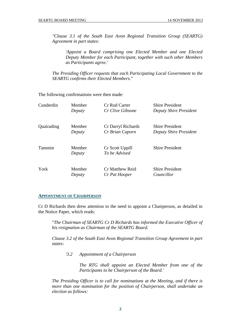*"Clause 3.1 of the South East Avon Regional Transition Group (SEARTG) Agreement in part states:* 

 *'Appoint a Board comprising one Elected Member and one Elected Deputy Member for each Participant, together with such other Members as Participants agree.'* 

*The Presiding Officer requests that each Participating Local Government to the SEARTG confirms their Elected Members."* 

The following confirmations were then made:

| Cunderdin  | Member           | <b>Cr Rod Carter</b>             | <b>Shire President</b> |
|------------|------------------|----------------------------------|------------------------|
|            | Deputy           | Cr Clive Gibsone                 | Deputy Shire President |
| Quairading | Member           | Cr Darryl Richards               | <b>Shire President</b> |
|            | Deputy           | Cr Brian Caporn                  | Deputy Shire President |
| Tammin     | Member<br>Deputy | Cr Scott Uppill<br>To be Advised | <b>Shire President</b> |
| York       | Member           | Cr Matthew Reid                  | <b>Shire President</b> |
|            | Deputy           | Cr Pat Hooper                    | Councillor             |

#### **APPOINTMENT OF CHAIRPERSON**

Cr D Richards then drew attention to the need to appoint a Chairperson, as detailed in the Notice Paper, which reads:

 "*The Chairman of SEARTG Cr D Richards has informed the Executive Officer of his resignation as Chairman of the SEARTG Board.* 

 *Clause 3.2 of the South East Avon Regional Transition Group Agreement in part states:* 

 *'3.2 Appointment of a Chairperson* 

 *The RTG shall appoint an Elected Member from one of the Participants to be Chairperson of the Board.'* 

 *The Presiding Officer is to call for nominations at the Meeting, and if there is more than one nomination for the position of Chairperson, shall undertake an election as follows:*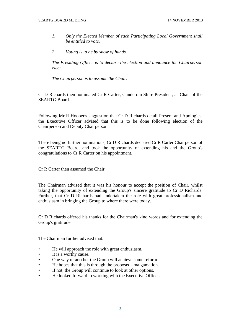- *1. Only the Elected Member of each Participating Local Government shall be entitled to vote.*
- *2. Voting is to be by show of hands.*

 *The Presiding Officer is to declare the election and announce the Chairperson elect.* 

 *The Chairperson is to assume the Chair."* 

Cr D Richards then nominated Cr R Carter, Cunderdin Shire President, as Chair of the SEARTG Board.

Following Mr R Hooper's suggestion that Cr D Richards detail Present and Apologies, the Executive Officer advised that this is to be done following election of the Chairperson and Deputy Chairperson.

There being no further nominations, Cr D Richards declared Cr R Carter Chairperson of the SEARTG Board, and took the opportunity of extending his and the Group's congratulations to Cr R Carter on his appointment.

Cr R Carter then assumed the Chair.

The Chairman advised that it was his honour to accept the position of Chair, whilst taking the opportunity of extending the Group's sincere gratitude to Cr D Richards. Further, that Cr D Richards had undertaken the role with great professionalism and enthusiasm in bringing the Group to where there were today.

Cr D Richards offered his thanks for the Chairman's kind words and for extending the Group's gratitude.

The Chairman further advised that:

- He will approach the role with great enthusiasm,
- It is a worthy cause.
- One way or another the Group will achieve some reform.
- He hopes that this is through the proposed amalgamation.
- If not, the Group will continue to look at other options.
- He looked forward to working with the Executive Officer.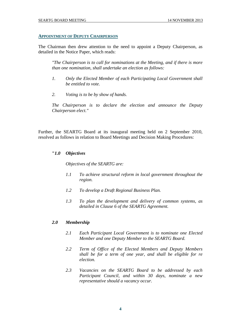#### **APPOINTMENT OF DEPUTY CHAIRPERSON**

The Chairman then drew attention to the need to appoint a Deputy Chairperson, as detailed in the Notice Paper, which reads:

*"The Chairperson is to call for nominations at the Meeting, and if there is more than one nomination, shall undertake an election as follows:* 

- *1. Only the Elected Member of each Participating Local Government shall be entitled to vote.*
- *2. Voting is to be by show of hands.*

*The Chairperson is to declare the election and announce the Deputy Chairperson elect."* 

Further, the SEARTG Board at its inaugural meeting held on 2 September 2010, resolved as follows in relation to Board Meetings and Decision Making Procedures:

# **"***1.0 Objectives*

 *Objectives of the SEARTG are:* 

- *1.1 To achieve structural reform in local government throughout the region.*
- *1.2 To develop a Draft Regional Business Plan.*
- *1.3 To plan the development and delivery of common systems, as detailed in Clause 6 of the SEARTG Agreement.*

#### *2.0 Membership*

- *2.1 Each Participant Local Government is to nominate one Elected Member and one Deputy Member to the SEARTG Board.*
- *2.2 Term of Office of the Elected Members and Deputy Members shall be for a term of one year, and shall be eligible for re election.*
- *2.3 Vacancies on the SEARTG Board to be addressed by each Participant Council, and within 30 days, nominate a new representative should a vacancy occur.*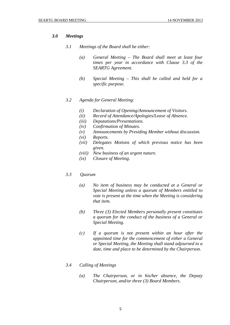# *3.0 Meetings*

- *3.1 Meetings of the Board shall be either:* 
	- *(a) General Meeting The Board shall meet at least four times per year in accordance with Clause 3.3 of the SEARTG Agreement.*
	- *(b) Special Meeting This shall be called and held for a specific purpose.*
- *3.2 Agenda for General Meeting:* 
	- *(i) Declaration of Opening/Announcement of Visitors.*
	- *(ii) Record of Attendance/Apologies/Leave of Absence.*
	- *(iii) Deputations/Presentations.*
	- *(iv) Confirmation of Minutes.*
	- *(v) Announcements by Presiding Member without discussion.*
	- *(vi) Reports.*
	- *(vii) Delegates Motions of which previous notice has been given.*
	- *(viii) New business of an urgent nature.*
	- *(ix) Closure of Meeting.*

# *3.3 Quorum*

- *(a) No item of business may be conducted at a General or Special Meeting unless a quorum of Members entitled to vote is present at the time when the Meeting is considering that item.*
- *(b) Three (3) Elected Members personally present constitutes a quorum for the conduct of the business of a General or Special Meeting.*
- *(c) If a quorum is not present within an hour after the appointed time for the commencement of either a General or Special Meeting, the Meeting shall stand adjourned to a date, time and place to be determined by the Chairperson.*

# *3.4 Calling of Meetings*

 *(a) The Chairperson, or in his/her absence, the Deputy Chairperson, and/or three (3) Board Members.*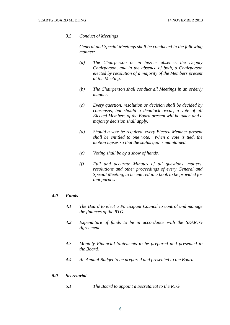# *3.5 Conduct of Meetings*

 *General and Special Meetings shall be conducted in the following manner:* 

- *(a) The Chairperson or in his/her absence, the Deputy Chairperson, and in the absence of both, a Chairperson elected by resolution of a majority of the Members present at the Meeting.*
- *(b) The Chairperson shall conduct all Meetings in an orderly manner.*
- *(c) Every question, resolution or decision shall be decided by consensus, but should a deadlock occur, a vote of all Elected Members of the Board present will be taken and a majority decision shall apply.*
- *(d) Should a vote be required, every Elected Member present shall be entitled to one vote. When a vote is tied, the motion lapses so that the status quo is maintained.*
- *(e) Voting shall be by a show of hands.*
- *(f) Full and accurate Minutes of all questions, matters, resolutions and other proceedings of every General and Special Meeting, to be entered in a book to be provided for that purpose.*

#### *4.0 Funds*

- *4.1 The Board to elect a Participant Council to control and manage the finances of the RTG.*
- *4.2 Expenditure of funds to be in accordance with the SEARTG Agreement.*
- *4.3 Monthly Financial Statements to be prepared and presented to the Board.*
- *4.4 An Annual Budget to be prepared and presented to the Board.*

#### *5.0 Secretariat*

 *5.1 The Board to appoint a Secretariat to the RTG.*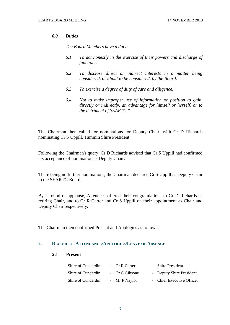# *6.0 Duties*

 *The Board Members have a duty:* 

- *6.1 To act honestly in the exercise of their powers and discharge of functions.*
- *6.2 To disclose direct or indirect interests in a matter being considered, or about to be considered, by the Board.*
- *6.3 To exercise a degree of duty of care and diligence.*
- *6.4 Not to make improper use of information or position to gain, directly or indirectly, an advantage for himself or herself, or to the detriment of SEARTG."*

The Chairman then called for nominations for Deputy Chair, with Cr D Richards nominating Cr S Uppill, Tammin Shire President.

Following the Chairman's query, Cr D Richards advised that Cr S Uppill had confirmed his acceptance of nomination as Deputy Chair.

There being no further nominations, the Chairman declared Cr S Uppill as Deputy Chair to the SEARTG Board.

By a round of applause, Attendees offered their congratulations to Cr D Richards as retiring Chair, and to Cr R Carter and Cr S Uppill on their appointment as Chair and Deputy Chair respectively.

The Chairman then confirmed Present and Apologies as follows:

# **2. RECORD OF ATTENDANCE/APOLOGIES/LEAVE OF ABSENCE**

# **2.1 Present**

| Shire of Cunderdin | - Cr R Carter  | - Shire President         |
|--------------------|----------------|---------------------------|
| Shire of Cunderdin | - Cr C Gibsone | - Deputy Shire President  |
| Shire of Cunderdin | - Mr P Naylor  | - Chief Executive Officer |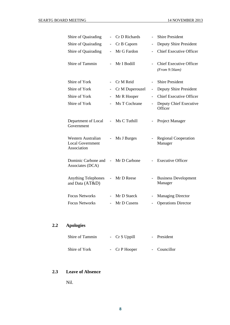| Shire of Quairading                                          |                              | Cr D Richards   |                          | <b>Shire President</b>                          |
|--------------------------------------------------------------|------------------------------|-----------------|--------------------------|-------------------------------------------------|
| Shire of Quairading                                          | $\qquad \qquad \blacksquare$ | Cr B Caporn     |                          | Deputy Shire President                          |
| Shire of Quairading                                          |                              | Mr G Fardon     |                          | <b>Chief Executive Officer</b>                  |
| Shire of Tammin                                              | $\overline{a}$               | Mr I Bodill     |                          | <b>Chief Executive Officer</b><br>(From 9:56am) |
| Shire of York                                                |                              | Cr M Reid       |                          | <b>Shire President</b>                          |
| Shire of York                                                | $\overline{\phantom{0}}$     | Cr M Duperouzel | $\overline{\phantom{0}}$ | Deputy Shire President                          |
| Shire of York                                                |                              | Mr R Hooper     | $\overline{\phantom{0}}$ | <b>Chief Executive Officer</b>                  |
| Shire of York                                                | $\overline{\phantom{a}}$     | Ms T Cochrane   | $\overline{\phantom{0}}$ | Deputy Chief Executive<br>Officer               |
| Department of Local<br>Government                            | $\overline{\phantom{0}}$     | Ms C Tuthill    |                          | Project Manager                                 |
| Western Australian<br><b>Local Government</b><br>Association | $\overline{\phantom{0}}$     | Ms J Burges     |                          | <b>Regional Cooperation</b><br>Manager          |
| Dominic Carbone and<br>Associates (DCA)                      | $\frac{1}{2}$                | Mr D Carbone    |                          | <b>Executive Officer</b>                        |
| <b>Anything Telephones</b><br>and Data (AT&D)                |                              | Mr D Reese      |                          | <b>Business Development</b><br>Manager          |
| <b>Focus Networks</b>                                        |                              | Mr D Staeck     |                          | <b>Managing Director</b>                        |
| <b>Focus Networks</b>                                        |                              | Mr D Cusens     |                          | <b>Operations Director</b>                      |

# **2.2 Apologies**

| Shire of Tammin | - Cr S Uppill  | - President  |
|-----------------|----------------|--------------|
| Shire of York   | - $CrP$ Hooper | - Councillor |

# **2.3 Leave of Absence**

Nil.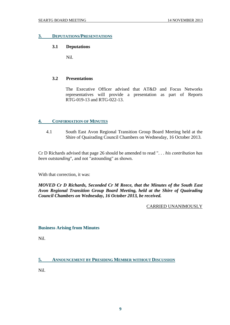### **3. DEPUTATIONS/PRESENTATIONS**

# **3.1 Deputations**

Nil.

# **3.2 Presentations**

 The Executive Officer advised that AT&D and Focus Networks representatives will provide a presentation as part of Reports RTG-019-13 and RTG-022-13.

# **4. CONFIRMATION OF MINUTES**

 4.1 South East Avon Regional Transition Group Board Meeting held at the Shire of Quairading Council Chambers on Wednesday, 16 October 2013.

Cr D Richards advised that page 26 should be amended to read ". . . *his contribution has been outstanding*", and not "astounding" as shown.

With that correction, it was:

*MOVED Cr D Richards, Seconded Cr M Reece, that the Minutes of the South East Avon Regional Transition Group Board Meeting, held at the Shire of Quairading Council Chambers on Wednesday, 16 October 2013, be received.* 

# CARRIED UNANIMOUSLY

# **Business Arising from Minutes**

Nil.

**5. ANNOUNCEMENT BY PRESIDING MEMBER WITHOUT DISCUSSION**

Nil.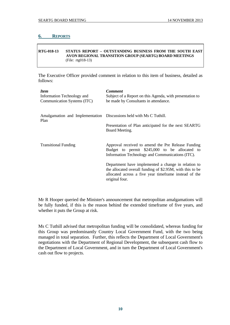# **6. REPORTS**

#### **RTG-018-13 STATUS REPORT – OUTSTANDING BUSINESS FROM THE SOUTH EAST AVON REGIONAL TRANSITION GROUP (SEARTG) BOARD MEETINGS**  (File: rtg018-13)

The Executive Officer provided comment in relation to this item of business, detailed as follows:

| <b>Item</b>                                                         | <b>Comment</b>                                                                                                                                                                              |
|---------------------------------------------------------------------|---------------------------------------------------------------------------------------------------------------------------------------------------------------------------------------------|
| Information Technology and                                          | Subject of a Report on this Agenda, with presentation to                                                                                                                                    |
| Communication Systems (ITC)                                         | be made by Consultants in attendance.                                                                                                                                                       |
| Amalgamation and Implementation Discussions held with Ms C Tuthill. | Presentation of Plan anticipated for the next SEARTG                                                                                                                                        |
| Plan                                                                | Board Meeting.                                                                                                                                                                              |
| <b>Transitional Funding</b>                                         | Approval received to amend the Pre Release Funding<br>Budget to permit \$245,000 to be allocated to<br>Information Technology and Communications (ITC).                                     |
|                                                                     | Department have implemented a change in relation to<br>the allocated overall funding of \$2.95M, with this to be<br>allocated across a five year timeframe instead of the<br>original four. |

Mr R Hooper queried the Minister's announcement that metropolitan amalgamations will be fully funded, if this is the reason behind the extended timeframe of five years, and whether it puts the Group at risk.

Ms C Tuthill advised that metropolitan funding will be consolidated, whereas funding for this Group was predominantly Country Local Government Fund, with the two being managed in total separation. Further, this reflects the Department of Local Government's negotiations with the Department of Regional Development, the subsequent cash flow to the Department of Local Government, and in turn the Department of Local Government's cash out flow to projects.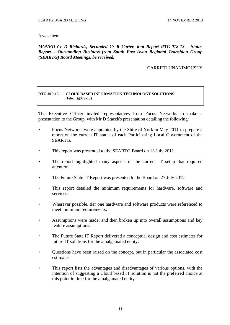It was then:

*MOVED Cr D Richards, Seconded Cr R Carter, that Report RTG-018-13 – Status Report – Outstanding Business from South East Avon Regional Transition Group (SEARTG) Board Meetings, be received.*

# CARRIED UNANIMOUSLY

#### **RTG-019-13 CLOUD BASED INFORMATION TECHNOLOGY SOLUTIONS**  (File: rtg019-13)

The Executive Officer invited representatives from Focus Networks to make a presentation to the Group, with Mr D Staeck's presentation detailing the following:

- Focus Networks were appointed by the Shire of York in May 2011 to prepare a report on the current IT status of each Participating Local Government of the SEARTG.
- This report was presented to the SEARTG Board on 13 July 2011.
- The report highlighted many aspects of the current IT setup that required attention.
- The Future State IT Report was presented to the Board on 27 July 2012.
- This report detailed the minimum requirements for hardware, software and services.
- Wherever possible, tier one hardware and software products were referenced to meet minimum requirements.
- Assumptions were made, and then broken up into overall assumptions and key feature assumptions.
- The Future State IT Report delivered a conceptual design and cost estimates for future IT solutions for the amalgamated entity.
- Questions have been raised on the concept, but in particular the associated cost estimates.
- This report lists the advantages and disadvantages of various options, with the intention of suggesting a Cloud based IT solution is not the preferred choice at this point in time for the amalgamated entity.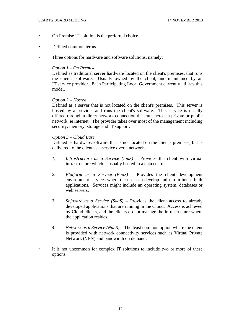- On Premise IT solution is the preferred choice.
- Defined common terms.
- Three options for hardware and software solutions, namely:

#### *Option 1 – On Premise*

 Defined as traditional server hardware located on the client's premises, that runs the client's software. Usually owned by the client, and maintained by an IT service provider. Each Participating Local Government currently utilises this model.

#### *Option 2 – Hosted*

 Defined as a server that is not located on the client's premises. This server is hosted by a provider and runs the client's software. This service is usually offered through a direct network connection that runs across a private or public network, ie internet. The provider takes over most of the management including security, memory, storage and IT support.

### *Option 3 – Cloud Base*

 Defined as hardware/software that is not located on the client's premises, but is delivered to the client as a service over a network.

- *1. Infrastructure as a Service (IaaS)* Provides the client with virtual infrastructure which is usually hosted in a data centre.
- *2. Platform as a Service (PaaS)* Provides the client development environment services where the user can develop and run in-house built applications. Services might include an operating system, databases or web servers.
- *3. Software as a Service (SaaS)* Provides the client access to already developed applications that are running in the Cloud. Access is achieved by Cloud clients, and the clients do not manage the infrastructure where the application resides.
- *4. Network as a Service (NaaS)* The least common option where the client is provided with network connectivity services such as Virtual Private Network (VPN) and bandwidth on demand.
- It is not uncommon for complex IT solutions to include two or more of these options.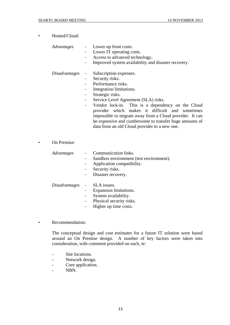| Hosted/Cloud: |  |
|---------------|--|
|---------------|--|

*Advantages* - Lower up front costs.

- Lower IT operating costs.
- Access to advanced technology.
- Improved system availability and disaster recovery.

*Disadvantages* - Subscription expenses.

- Security risks.
- Performance risks.
- Integration limitations.
- Strategic risks.
- Service Level Agreement (SLA) risks.
- Vendor lock-in. This is a dependency on the Cloud provider which makes it difficult and sometimes impossible to migrate away from a Cloud provider. It can be expensive and cumbersome to transfer huge amounts of data from an old Cloud provider to a new one.
- On Premise:

| Advantages | Communication links.<br>Sandbox environment (test environment).<br>$\overline{\phantom{a}}$<br>Application compatibility.<br>Security risks.<br>Disaster recovery.<br>$\sim$ |
|------------|------------------------------------------------------------------------------------------------------------------------------------------------------------------------------|
|            | Disadvantages - SLA issues.<br>Expansion limitations.                                                                                                                        |

- System availability.
- Physical security risks.
- Higher up time costs.
- Recommendation:

 The conceptual design and cost estimates for a future IT solution were based around an On Premise design. A number of key factors were taken into consideration, with comment provided on each, ie:

- Site locations.
- Network design.
- Core application.
- NBN.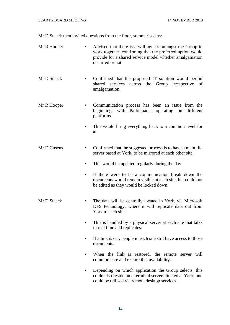Mr D Staeck then invited questions from the floor, summarised as:

Mr R Hooper • Advised that there is a willingness amongst the Group to work together, confirming that the preferred option would provide for a shared service model whether amalgamation occurred or not. Mr D Staeck • Confirmed that the proposed IT solution would permit shared services across the Group irrespective of amalgamation. Mr R Hooper • Communication process has been an issue from the beginning, with Participants operating on different platforms. This would bring everything back to a common level for all. Mr D Cusens • Confirmed that the suggested process is to have a main file server based at York, to be mirrored at each other site. • This would be updated regularly during the day. • If there were to be a communication break down the documents would remain visible at each site, but could not be edited as they would be locked down. Mr D Staeck • The data will be centrally located in York, via Microsoft DFS technology, where it will replicate data out from York to each site. This is handled by a physical server at each site that talks in real time and replicates. • If a link is cut, people in each site still have access to those documents. • When the link is restored, the remote server will communicate and restore that availability. • Depending on which application the Group selects, this could also reside on a terminal server situated at York, and could be utilised via remote desktop services.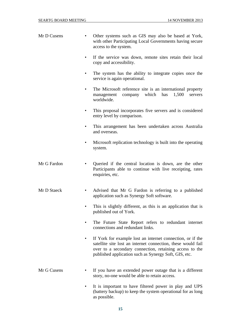| Mr D Cusens      | Other systems such as GIS may also be based at York,<br>with other Participating Local Governments having secure<br>access to the system.                                                                                                      |
|------------------|------------------------------------------------------------------------------------------------------------------------------------------------------------------------------------------------------------------------------------------------|
| $\bullet$        | If the service was down, remote sites retain their local<br>copy and accessibility.                                                                                                                                                            |
| $\bullet$        | The system has the ability to integrate copies once the<br>service is again operational.                                                                                                                                                       |
| $\bullet$        | The Microsoft reference site is an international property<br>which<br>company<br>has<br>1,500<br>management<br>servers<br>worldwide.                                                                                                           |
|                  | This proposal incorporates five servers and is considered<br>entry level by comparison.                                                                                                                                                        |
|                  | This arrangement has been undertaken across Australia<br>and overseas.                                                                                                                                                                         |
| ٠                | Microsoft replication technology is built into the operating<br>system.                                                                                                                                                                        |
| Mr G Fardon      | Queried if the central location is down, are the other<br>Participants able to continue with live receipting, rates<br>enquiries, etc.                                                                                                         |
| Mr D Staeck<br>٠ | Advised that Mr G Fardon is referring to a published<br>application such as Synergy Soft software.                                                                                                                                             |
|                  | This is slightly different, as this is an application that is<br>published out of York.                                                                                                                                                        |
|                  | The Future State Report refers to redundant internet<br>connections and redundant links.                                                                                                                                                       |
|                  | If York for example lost an internet connection, or if the<br>satellite site lost an internet connection, these would fail<br>over to a secondary connection, retaining access to the<br>published application such as Synergy Soft, GIS, etc. |
| Mr G Cusens      | If you have an extended power outage that is a different<br>story, no-one would be able to retain access.                                                                                                                                      |
|                  | It is important to have filtered power in play and UPS<br>(battery backup) to keep the system operational for as long                                                                                                                          |

as possible.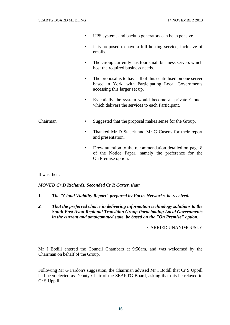|               | UPS systems and backup generators can be expensive.                                                                                                   |
|---------------|-------------------------------------------------------------------------------------------------------------------------------------------------------|
| ٠             | It is proposed to have a full hosting service, inclusive of<br>emails.                                                                                |
| ٠             | The Group currently has four small business servers which<br>host the required business needs.                                                        |
| ٠             | The proposal is to have all of this centralised on one server<br>based in York, with Participating Local Governments<br>accessing this larger set up. |
|               | Essentially the system would become a "private Cloud"<br>which delivers the services to each Participant.                                             |
| Chairman<br>٠ | Suggested that the proposal makes sense for the Group.                                                                                                |
|               | Thanked Mr D Staeck and Mr G Cusens for their report<br>and presentation.                                                                             |
| ٠             | Drew attention to the recommendation detailed on page 8<br>of the Notice Paper, namely the preference for the<br>On Premise option.                   |
|               |                                                                                                                                                       |

It was then:

*MOVED Cr D Richards, Seconded Cr R Carter, that:* 

- *1. The "Cloud Viability Report" prepared by Focus Networks, be received.*
- *2. That the preferred choice in delivering information technology solutions to the South East Avon Regional Transition Group Participating Local Governments in the current and amalgamated state, be based on the "On Premise" option.*

# CARRIED UNANIMOUSLY

Mr I Bodill entered the Council Chambers at 9:56am, and was welcomed by the Chairman on behalf of the Group.

Following Mr G Fardon's suggestion, the Chairman advised Mr I Bodill that Cr S Uppill had been elected as Deputy Chair of the SEARTG Board, asking that this be relayed to Cr S Uppill.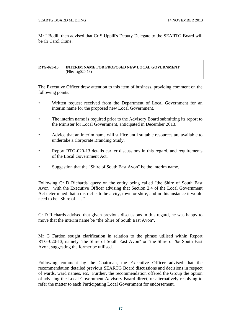Mr I Bodill then advised that Cr S Uppill's Deputy Delegate to the SEARTG Board will be Cr Carol Crane.

#### **RTG-020-13 INTERIM NAME FOR PROPOSED NEW LOCAL GOVERNMENT**  (File: rtg020-13)

The Executive Officer drew attention to this item of business, providing comment on the following points:

- Written request received from the Department of Local Government for an interim name for the proposed new Local Government.
- The interim name is required prior to the Advisory Board submitting its report to the Minister for Local Government, anticipated in December 2013.
- Advice that an interim name will suffice until suitable resources are available to undertake a Corporate Branding Study.
- Report RTG-020-13 details earlier discussions in this regard, and requirements of the Local Government Act.
- Suggestion that the "Shire of South East Avon" be the interim name.

Following Cr D Richards' query on the entity being called "the Shire of South East Avon", with the Executive Officer advising that Section 2.4 of the Local Government Act determined that a district is to be a city, town or shire, and in this instance it would need to be "Shire of . . . ".

Cr D Richards advised that given previous discussions in this regard, he was happy to move that the interim name be "the Shire of South East Avon".

Mr G Fardon sought clarification in relation to the phrase utilised within Report RTG-020-13, namely "the Shire of South East Avon" or "the Shire of *the* South East Avon, suggesting the former be utilised.

Following comment by the Chairman, the Executive Officer advised that the recommendation detailed previous SEARTG Board discussions and decisions in respect of wards, ward names, etc. Further, the recommendation offered the Group the option of advising the Local Government Advisory Board direct, or alternatively resolving to refer the matter to each Participating Local Government for endorsement.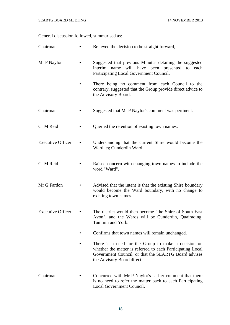General discussion followed, summarised as:

- Chairman Believed the decision to be straight forward,
- Mr P Naylor Suggested that previous Minutes detailing the suggested interim name will have been presented to each Participating Local Government Council.
	- There being no comment from each Council to the contrary, suggested that the Group provide direct advice to the Advisory Board.
- Chairman Suggested that Mr P Naylor's comment was pertinent.
- Cr M Reid Queried the retention of existing town names.
- Executive Officer Understanding that the current Shire would become the Ward, eg Cunderdin Ward.
- Cr M Reid Raised concern with changing town names to include the word "Ward".
- Mr G Fardon Advised that the intent is that the existing Shire boundary would become the Ward boundary, with no change to existing town names.
- Executive Officer The district would then become "the Shire of South East Avon", and the Wards will be Cunderdin, Quairading, Tammin and York.
	- Confirms that town names will remain unchanged.
	- There is a need for the Group to make a decision on whether the matter is referred to each Participating Local Government Council, or that the SEARTG Board advises the Advisory Board direct.
- Chairman Concurred with Mr P Naylor's earlier comment that there is no need to refer the matter back to each Participating Local Government Council.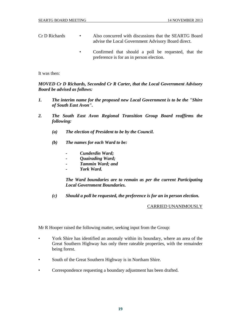- Cr D Richards Also concurred with discussions that the SEARTG Board advise the Local Government Advisory Board direct.
	- Confirmed that should a poll be requested, that the preference is for an in person election.

It was then:

# *MOVED Cr D Richards, Seconded Cr R Carter, that the Local Government Advisory Board be advised as follows:*

- *1. The interim name for the proposed new Local Government is to be the "Shire of South East Avon".*
- *2. The South East Avon Regional Transition Group Board reaffirms the following:* 
	- *(a) The election of President to be by the Council.*
	- *(b) The names for each Ward to be:* 
		- *Cunderdin Ward;*
		- *Quairading Ward;*
		- *Tammin Ward; and*
		- *York Ward.*

 *The Ward boundaries are to remain as per the current Participating Local Government Boundaries.* 

 *(c) Should a poll be requested, the preference is for an in person election.* 

#### CARRIED UNANIMOUSLY

Mr R Hooper raised the following matter, seeking input from the Group:

- York Shire has identified an anomaly within its boundary, where an area of the Great Southern Highway has only three rateable properties, with the remainder being forest.
- South of the Great Southern Highway is in Northam Shire.
- Correspondence requesting a boundary adjustment has been drafted.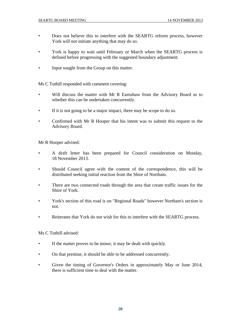- Does not believe this to interfere with the SEARTG reform process, however York will not initiate anything that may do so.
- York is happy to wait until February or March when the SEARTG process is defined before progressing with the suggested boundary adjustment.
- Input sought from the Group on this matter.

Ms C Tuthill responded with comment covering:

- Will discuss the matter with Mr R Earnshaw from the Advisory Board as to whether this can be undertaken concurrently.
- If it is not going to be a major impact, there may be scope to do so.
- Confirmed with Mr R Hooper that his intent was to submit this request to the Advisory Board.

Mr R Hooper advised:

- A draft letter has been prepared for Council consideration on Monday, 18 November 2013.
- Should Council agree with the content of the correspondence, this will be distributed seeking initial reaction from the Shire of Northam.
- There are two connected roads through the area that create traffic issues for the Shire of York.
- York's section of this road is on "Regional Roads" however Northam's section is not.
- Reiterates that York do not wish for this to interfere with the SEARTG process.

Ms C Tuthill advised:

- If the matter proves to be minor, it may be dealt with quickly.
- On that premise, it should be able to be addressed concurrently.
- Given the timing of Governor's Orders in approximately May or June 2014, there is sufficient time to deal with the matter.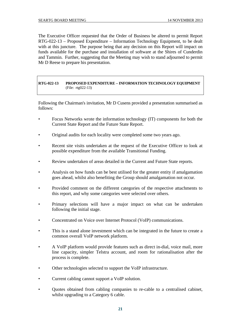The Executive Officer requested that the Order of Business be altered to permit Report RTG-022-13 – Proposed Expenditure – Information Technology Equipment, to be dealt with at this juncture. The purpose being that any decision on this Report will impact on funds available for the purchase and installation of software at the Shires of Cunderdin and Tammin. Further, suggesting that the Meeting may wish to stand adjourned to permit Mr D Reese to prepare his presentation.

### **RTG-022-13 PROPOSED EXPENDITURE – INFORMATION TECHNOLOGY EQUIPMENT**  (File: rtg022-13)

Following the Chairman's invitation, Mr D Cusens provided a presentation summarised as follows:

- Focus Networks wrote the information technology (IT) components for both the Current State Report and the Future State Report.
- Original audits for each locality were completed some two years ago.
- Recent site visits undertaken at the request of the Executive Officer to look at possible expenditure from the available Transitional Funding.
- Review undertaken of areas detailed in the Current and Future State reports.
- Analysis on how funds can be best utilised for the greater entity if amalgamation goes ahead, whilst also benefiting the Group should amalgamation not occur.
- Provided comment on the different categories of the respective attachments to this report, and why some categories were selected over others.
- Primary selections will have a major impact on what can be undertaken following the initial stage.
- Concentrated on Voice over Internet Protocol (VoIP) communications.
- This is a stand alone investment which can be integrated in the future to create a common overall VoIP network platform.
- A VoIP platform would provide features such as direct in-dial, voice mail, more line capacity, simpler Telstra account, and room for rationalisation after the process is complete.
- Other technologies selected to support the VoIP infrastructure.
- Current cabling cannot support a VoIP solution.
- Quotes obtained from cabling companies to re-cable to a centralised cabinet, whilst upgrading to a Category 6 cable.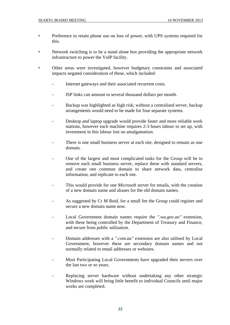- Preference to retain phone use on loss of power, with UPS systems required for this.
- Network switching is to be a stand alone box providing the appropriate network infrastructure to power the VoIP facility.
- Other areas were investigated, however budgetary constraints and associated impacts negated consideration of these, which included:
	- Internet gateways and their associated recurrent costs.
	- ISP links can amount to several thousand dollars per month.
	- Backup was highlighted as high risk; without a centralised server, backup arrangements would need to be made for four separate systems.
	- Desktop and laptop upgrade would provide faster and more reliable work stations, however each machine requires 2-3 hours labour to set up, with investment in this labour lost on amalgamation.
	- There is one small business server at each site, designed to remain as one domain.
	- One of the largest and most complicated tasks for the Group will be to remove each small business server, replace these with standard servers, and create one common domain to share network data, centralise information, and replicate to each site.
	- This would provide for one Microsoft server for emails, with the creation of a new domain name and aliases for the old domain names.
	- As suggested by Cr M Reid, for a small fee the Group could register and secure a new domain name now.
	- Local Government domain names require the *".wa.gov.au"* extension, with these being controlled by the Department of Treasury and Finance, and secure from public utilisation.
	- Domain addresses with a *".com.au"* extension are also utilised by Local Government, however these are secondary domain names and not normally related to email addresses or websites.
	- Most Participating Local Governments have upgraded their servers over the last two or so years.
	- Replacing server hardware without undertaking any other strategic Windows work will bring little benefit to individual Councils until major works are completed.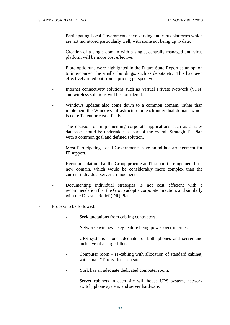- Participating Local Governments have varying anti virus platforms which are not monitored particularly well, with some not being up to date.
- Creation of a single domain with a single, centrally managed anti virus platform will be more cost effective.
- Fibre optic runs were highlighted in the Future State Report as an option to interconnect the smaller buildings, such as depots etc. This has been effectively ruled out from a pricing perspective.
- Internet connectivity solutions such as Virtual Private Network (VPN) and wireless solutions will be considered.
- Windows updates also come down to a common domain, rather than implement the Windows infrastructure on each individual domain which is not efficient or cost effective.
- The decision on implementing corporate applications such as a rates database should be undertaken as part of the overall Strategic IT Plan with a common goal and defined solution.
- Most Participating Local Governments have an ad-hoc arrangement for IT support.
- Recommendation that the Group procure an IT support arrangement for a new domain, which would be considerably more complex than the current individual server arrangements.
- Documenting individual strategies is not cost efficient with a recommendation that the Group adopt a corporate direction, and similarly with the Disaster Relief (DR) Plan.
- Process to be followed:
	- Seek quotations from cabling contractors.
	- Network switches key feature being power over internet.
	- UPS systems one adequate for both phones and server and inclusive of a surge filter.
	- Computer room re-cabling with allocation of standard cabinet, with small "Tardis" for each site.
	- York has an adequate dedicated computer room.
	- Server cabinets in each site will house UPS system, network switch, phone system, and server hardware.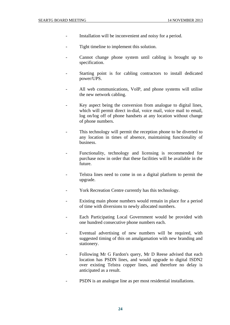- Installation will be inconvenient and noisy for a period.
- Tight timeline to implement this solution.
- Cannot change phone system until cabling is brought up to specification.
- Starting point is for cabling contractors to install dedicated power/UPS.
- All web communications, VoIP, and phone systems will utilise the new network cabling.
- Key aspect being the conversion from analogue to digital lines, which will permit direct in-dial, voice mail, voice mail to email, log on/log off of phone handsets at any location without change of phone numbers.
- This technology will permit the reception phone to be diverted to any location in times of absence, maintaining functionality of business.
- Functionality, technology and licensing is recommended for purchase now in order that these facilities will be available in the future.
- Telstra lines need to come in on a digital platform to permit the upgrade.
- York Recreation Centre currently has this technology.
- Existing main phone numbers would remain in place for a period of time with diversions to newly allocated numbers.
- Each Participating Local Government would be provided with one hundred consecutive phone numbers each.
- Eventual advertising of new numbers will be required, with suggested timing of this on amalgamation with new branding and stationery.
- Following Mr G Fardon's query, Mr D Reese advised that each location has PSDN lines, and would upgrade to digital ISDN2 over existing Telstra copper lines, and therefore no delay is anticipated as a result.
- PSDN is an analogue line as per most residential installations.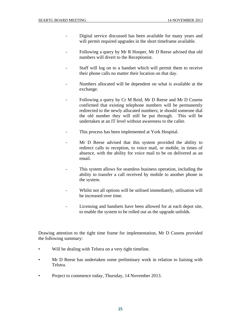- Digital service discussed has been available for many years and will permit required upgrades in the short timeframe available.
- Following a query by Mr R Hooper, Mr D Reese advised that old numbers will divert to the Receptionist.
- Staff will log on to a handset which will permit them to receive their phone calls no matter their location on that day.
- Numbers allocated will be dependent on what is available at the exchange.
- Following a query by Cr M Reid, Mr D Reese and Mr D Cusens confirmed that existing telephone numbers will be permanently redirected to the newly allocated numbers; ie should someone dial the old number they will still be put through. This will be undertaken at an IT level without awareness to the caller.
- This process has been implemented at York Hospital.
- Mr D Reese advised that this system provided the ability to redirect calls to reception, to voice mail, or mobile, in times of absence, with the ability for voice mail to be on delivered as an email.
- This system allows for seamless business operation, including the ability to transfer a call received by mobile to another phone in the system.
- Whilst not all options will be utilised immediately, utilisation will be increased over time.
- Licensing and handsets have been allowed for at each depot site, to enable the system to be rolled out as the upgrade unfolds.

Drawing attention to the tight time frame for implementation, Mr D Cusens provided the following summary:

- Will be dealing with Telstra on a very tight timeline.
- Mr D Reese has undertaken some preliminary work in relation to liaising with Telstra.
- Project to commence today, Thursday, 14 November 2013.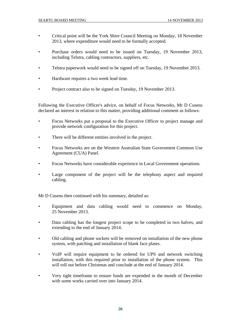- Critical point will be the York Shire Council Meeting on Monday, 18 November 2013, where expenditure would need to be formally accepted.
- Purchase orders would need to be issued on Tuesday, 19 November 2013, including Telstra, cabling contractors, suppliers, etc.
- Telstra paperwork would need to be signed off on Tuesday, 19 November 2013.
- Hardware requires a two week lead time.
- Project contract also to be signed on Tuesday, 19 November 2013.

Following the Executive Officer's advice, on behalf of Focus Networks, Mr D Cusens declared an interest in relation to this matter, providing additional comment as follows:

- Focus Networks put a proposal to the Executive Officer to project manage and provide network configuration for this project.
- There will be different entities involved in the project.
- Focus Networks are on the Western Australian State Government Common Use Agreement (CUA) Panel.
- Focus Networks have considerable experience in Local Government operations.
- Large component of the project will be the telephony aspect and required cabling.

Mr D Cusens then continued with his summary, detailed as:

- Equipment and data cabling would need to commence on Monday, 25 November 2013.
- Data cabling has the longest project scope to be completed in two halves, and extending to the end of January 2014.
- Old cabling and phone sockets will be removed on installation of the new phone system, with patching and installation of blank face plates.
- VoIP will require equipment to be ordered for UPS and network switching installation, with this required prior to installation of the phone system. This will roll out before Christmas and conclude at the end of January 2014.
- Very tight timeframe to ensure funds are expended in the month of December with some works carried over into January 2014.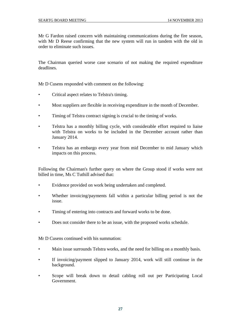Mr G Fardon raised concern with maintaining communications during the fire season, with Mr D Reese confirming that the new system will run in tandem with the old in order to eliminate such issues.

The Chairman queried worse case scenario of not making the required expenditure deadlines.

Mr D Cusens responded with comment on the following:

- Critical aspect relates to Telstra's timing.
- Most suppliers are flexible in receiving expenditure in the month of December.
- Timing of Telstra contract signing is crucial to the timing of works.
- Telstra has a monthly billing cycle, with considerable effort required to liaise with Telstra on works to be included in the December account rather than January 2014.
- Telstra has an embargo every year from mid December to mid January which impacts on this process.

Following the Chairman's further query on where the Group stood if works were not billed in time, Ms C Tuthill advised that:

- Evidence provided on work being undertaken and completed.
- Whether invoicing/payments fall within a particular billing period is not the issue.
- Timing of entering into contracts and forward works to be done.
- Does not consider there to be an issue, with the proposed works schedule.

Mr D Cusens continued with his summation:

- Main issue surrounds Telstra works, and the need for billing on a monthly basis.
- If invoicing/payment slipped to January 2014, work will still continue in the background.
- Scope will break down to detail cabling roll out per Participating Local Government.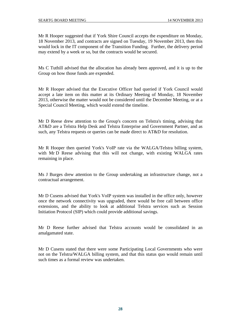Mr R Hooper suggested that if York Shire Council accepts the expenditure on Monday, 18 November 2013, and contracts are signed on Tuesday, 19 November 2013, then this would lock in the IT component of the Transition Funding. Further, the delivery period may extend by a week or so, but the contracts would be secured.

Ms C Tuthill advised that the allocation has already been approved, and it is up to the Group on how those funds are expended.

Mr R Hooper advised that the Executive Officer had queried if York Council would accept a late item on this matter at its Ordinary Meeting of Monday, 18 November 2013, otherwise the matter would not be considered until the December Meeting, or at a Special Council Meeting, which would extend the timeline.

Mr D Reese drew attention to the Group's concern on Telstra's timing, advising that AT&D are a Telstra Help Desk and Telstra Enterprise and Government Partner, and as such, any Telstra requests or queries can be made direct to AT&D for resolution.

Mr R Hooper then queried York's VoIP rate via the WALGA/Telstra billing system, with Mr D Reese advising that this will not change, with existing WALGA rates remaining in place.

Ms J Burges drew attention to the Group undertaking an infrastructure change, not a contractual arrangement.

Mr D Cusens advised that York's VoIP system was installed in the office only, however once the network connectivity was upgraded, there would be free call between office extensions, and the ability to look at additional Telstra services such as Session Initiation Protocol (SIP) which could provide additional savings.

Mr D Reese further advised that Telstra accounts would be consolidated in an amalgamated state.

Mr D Cusens stated that there were some Participating Local Governments who were not on the Telstra/WALGA billing system, and that this status quo would remain until such times as a formal review was undertaken.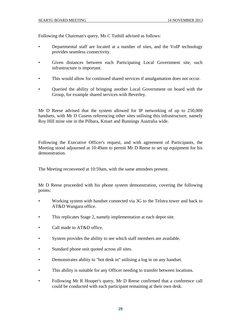Following the Chairman's query, Ms C Tuthill advised as follows:

- Departmental staff are located at a number of sites, and the VoIP technology provides seamless connectivity.
- Given distances between each Participating Local Government site, such infrastructure is important.
- This would allow for continued shared services if amalgamation does not occur.
- Queried the ability of bringing another Local Government on board with the Group, for example shared services with Beverley.

Mr D Reese advised that the system allowed for IP networking of up to 250,000 handsets, with Mr D Cusens referencing other sites utilising this infrastructure, namely Roy Hill mine site in the Pilbara, Kmart and Bunnings Australia wide.

Following the Executive Officer's request, and with agreement of Participants, the Meeting stood adjourned at 10:49am to permit Mr D Reese to set up equipment for his demonstration.

The Meeting reconvened at 10:59am, with the same attendees present.

Mr D Reese proceeded with his phone system demonstration, covering the following points:

- Working system with handset connected via 3G to the Telstra tower and back to AT&D Wangara office.
- This replicates Stage 2, namely implementation at each depot site.
- Call made to AT&D office.
- System provides the ability to see which staff members are available.
- Standard phone unit quoted across all sites.
- Demonstrates ability to "hot desk in" utilising a log in on any handset.
- This ability is suitable for any Officer needing to transfer between locations.
- Following Mr R Hooper's query, Mr D Reese confirmed that a conference call could be conducted with each participant remaining at their own desk.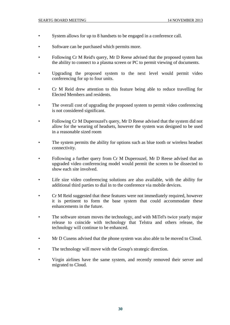- System allows for up to 8 handsets to be engaged in a conference call.
- Software can be purchased which permits more.
- Following Cr M Reid's query, Mr D Reese advised that the proposed system has the ability to connect to a plasma screen or PC to permit viewing of documents.
- Upgrading the proposed system to the next level would permit video conferencing for up to four units.
- Cr M Reid drew attention to this feature being able to reduce travelling for Elected Members and residents.
- The overall cost of upgrading the proposed system to permit video conferencing is not considered significant.
- Following Cr M Duperouzel's query, Mr D Reese advised that the system did not allow for the wearing of headsets, however the system was designed to be used in a reasonable sized room
- The system permits the ability for options such as blue tooth or wireless headset connectivity.
- Following a further query from Cr M Duperouzel, Mr D Reese advised that an upgraded video conferencing model would permit the screen to be dissected to show each site involved.
- Life size video conferencing solutions are also available, with the ability for additional third parties to dial in to the conference via mobile devices.
- Cr M Reid suggested that these features were not immediately required, however it is pertinent to form the base system that could accommodate these enhancements in the future.
- The software stream moves the technology, and with MiTel's twice yearly major release to coincide with technology that Telstra and others release, the technology will continue to be enhanced.
- Mr D Cusens advised that the phone system was also able to be moved to Cloud.
- The technology will move with the Group's strategic direction.
- Virgin airlines have the same system, and recently removed their server and migrated to Cloud.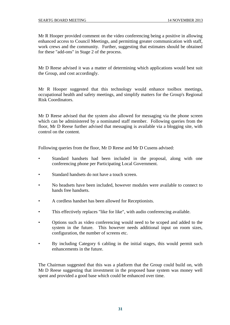Mr R Hooper provided comment on the video conferencing being a positive in allowing enhanced access to Council Meetings, and permitting greater communication with staff, work crews and the community. Further, suggesting that estimates should be obtained for these "add-ons" in Stage 2 of the process.

Mr D Reese advised it was a matter of determining which applications would best suit the Group, and cost accordingly.

Mr R Hooper suggested that this technology would enhance toolbox meetings, occupational health and safety meetings, and simplify matters for the Group's Regional Risk Coordinators.

Mr D Reese advised that the system also allowed for messaging via the phone screen which can be administered by a nominated staff member. Following queries from the floor, Mr D Reese further advised that messaging is available via a blogging site, with control on the content.

Following queries from the floor, Mr D Reese and Mr D Cusens advised:

- Standard handsets had been included in the proposal, along with one conferencing phone per Participating Local Government.
- Standard handsets do not have a touch screen.
- No headsets have been included, however modules were available to connect to hands free handsets.
- A cordless handset has been allowed for Receptionists.
- This effectively replaces "like for like", with audio conferencing available.
- Options such as video conferencing would need to be scoped and added to the system in the future. This however needs additional input on room sizes, configuration, the number of screens etc.
- By including Category 6 cabling in the initial stages, this would permit such enhancements in the future.

The Chairman suggested that this was a platform that the Group could build on, with Mr D Reese suggesting that investment in the proposed base system was money well spent and provided a good base which could be enhanced over time.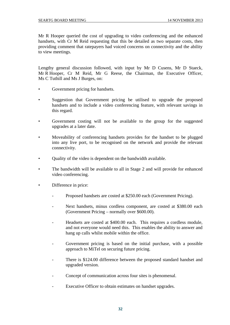Mr R Hooper queried the cost of upgrading to video conferencing and the enhanced handsets, with Cr M Reid requesting that this be detailed as two separate costs, then providing comment that ratepayers had voiced concerns on connectivity and the ability to view meetings.

Lengthy general discussion followed, with input by Mr D Cusens, Mr D Staeck, Mr R Hooper, Cr M Reid, Mr G Reese, the Chairman, the Executive Officer, Ms C Tuthill and Ms J Burges, on:

- Government pricing for handsets.
- Suggestion that Government pricing be utilised to upgrade the proposed handsets and to include a video conferencing feature, with relevant savings in this regard.
- Government costing will not be available to the group for the suggested upgrades at a later date.
- Moveability of conferencing handsets provides for the handset to be plugged into any live port, to be recognised on the network and provide the relevant connectivity.
- Quality of the video is dependent on the bandwidth available.
- The bandwidth will be available to all in Stage 2 and will provide for enhanced video conferencing.
- Difference in price:
	- Proposed handsets are costed at \$250.00 each (Government Pricing).
	- Next handsets, minus cordless component, are costed at \$380.00 each (Government Pricing – normally over \$600.00).
	- Headsets are costed at \$400.00 each. This requires a cordless module, and not everyone would need this. This enables the ability to answer and hang up calls whilst mobile within the office.
	- Government pricing is based on the initial purchase, with a possible approach to MiTel on securing future pricing.
	- There is \$124.00 difference between the proposed standard handset and upgraded version.
	- Concept of communication across four sites is phenomenal.
	- Executive Officer to obtain estimates on handset upgrades.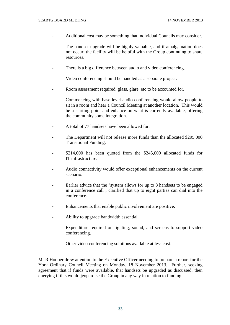- Additional cost may be something that individual Councils may consider.
- The handset upgrade will be highly valuable, and if amalgamation does not occur, the facility will be helpful with the Group continuing to share resources.
- There is a big difference between audio and video conferencing.
- Video conferencing should be handled as a separate project.
- Room assessment required, glass, glare, etc to be accounted for.
- Commencing with base level audio conferencing would allow people to sit in a room and hear a Council Meeting at another location. This would be a starting point and enhance on what is currently available, offering the community some integration.
- A total of 77 handsets have been allowed for.
- The Department will not release more funds than the allocated \$295,000 Transitional Funding.
- \$214,000 has been quoted from the \$245,000 allocated funds for IT infrastructure.
- Audio connectivity would offer exceptional enhancements on the current scenario.
- Earlier advice that the "system allows for up to 8 handsets to be engaged in a conference call", clarified that up to eight parties can dial into the conference.
- Enhancements that enable public involvement are positive.
- Ability to upgrade bandwidth essential.
- Expenditure required on lighting, sound, and screens to support video conferencing.
- Other video conferencing solutions available at less cost.

Mr R Hooper drew attention to the Executive Officer needing to prepare a report for the York Ordinary Council Meeting on Monday, 18 November 2013. Further, seeking agreement that if funds were available, that handsets be upgraded as discussed, then querying if this would jeopardise the Group in any way in relation to funding.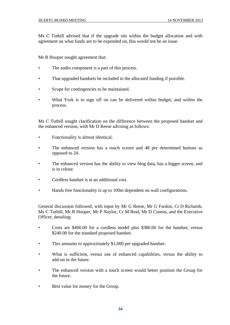Ms C Tuthill advised that if the upgrade sits within the budget allocation and with agreement on what funds are to be expended on, this would not be an issue.

Mr R Hooper sought agreement that:

- The audio component is a part of this process.
- That upgraded handsets be included in the allocated funding if possible.
- Scope for contingencies to be maintained.
- What York is to sign off on can be delivered within budget, and within the process.

Ms C Tuthill sought clarification on the difference between the proposed handset and the enhanced version, with Mr D Reese advising as follows:

- Functionality is almost identical.
- The enhanced version has a touch screen and 48 pre determined buttons as opposed to 24.
- The enhanced version has the ability to view blog data, has a bigger screen, and is in colour.
- Cordless handset is at an additional cost.
- Hands free functionality is up to 100m dependent on wall configurations.

General discussion followed, with input by Mr G Reese, Mr G Fardon, Cr D Richards, Ms C Tuthill, Mr R Hooper, Mr P Naylor, Cr M Reid, Mr D Cusens, and the Executive Officer, detailing:

- Costs are \$400.00 for a cordless model plus \$380.00 for the handset, versus \$240.00 for the standard proposed handset.
- This amounts to approximately \$1,000 per upgraded handset.
- What is sufficient, versus use of enhanced capabilities, versus the ability to add-on in the future.
- The enhanced version with a touch screen would better position the Group for the future.
- Best value for money for the Group.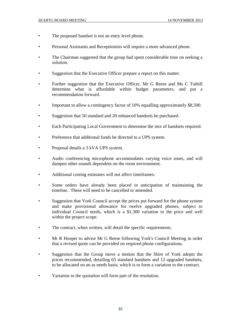- The proposed handset is not an entry level phone.
- Personal Assistants and Receptionists will require a more advanced phone.
- The Chairman suggested that the group had spent considerable time on seeking a solution.
- Suggestion that the Executive Officer prepare a report on this matter.
- Further suggestion that the Executive Officer, Mr G Reese and Ms C Tuthill determine what is affordable within budget parameters, and put a recommendation forward.
- Important to allow a contingency factor of 10% equalling approximately \$8,500.
- Suggestion that 50 standard and 20 enhanced handsets be purchased.
- Each Participating Local Government to determine the mix of handsets required.
- Preference that additional funds be directed to a UPS system.
- Proposal details a 3 kVA UPS system.
- Audio conferencing microphone accommodates varying voice tones, and will dampen other sounds dependent on the room environment.
- Additional costing estimates will not affect timeframes.
- Some orders have already been placed in anticipation of maintaining the timeline. These will need to be cancelled or amended.
- Suggestion that York Council accept the prices put forward for the phone system and make provisional allowance for twelve upgraded phones, subject to individual Council needs, which is a \$1,300 variation to the price and well within the project scope.
- The contract, when written, will detail the specific requirements.
- Mr R Hooper to advise Mr G Reese following York's Council Meeting in order that a revised quote can be provided on required phone configurations.
- Suggestion that the Group move a motion that the Shire of York adopts the prices recommended, detailing 65 standard handsets and 12 upgraded handsets, to be allocated on an as needs basis, which is to form a variation to the contract.
- Variation to the quotation will form part of the resolution.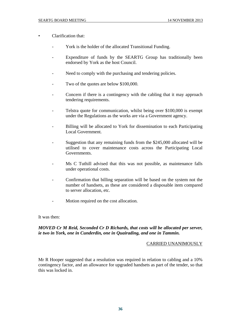- Clarification that:
	- York is the holder of the allocated Transitional Funding.
	- Expenditure of funds by the SEARTG Group has traditionally been endorsed by York as the host Council.
	- Need to comply with the purchasing and tendering policies.
	- Two of the quotes are below \$100,000.
	- Concern if there is a contingency with the cabling that it may approach tendering requirements.
	- Telstra quote for communication, whilst being over \$100,000 is exempt under the Regulations as the works are via a Government agency.
	- Billing will be allocated to York for dissemination to each Participating Local Government.
	- Suggestion that any remaining funds from the \$245,000 allocated will be utilised to cover maintenance costs across the Participating Local Governments.
	- Ms C Tuthill advised that this was not possible, as maintenance falls under operational costs.
	- Confirmation that billing separation will be based on the system not the number of handsets, as these are considered a disposable item compared to server allocation, etc.
	- Motion required on the cost allocation.

It was then:

# *MOVED Cr M Reid, Seconded Cr D Richards, that costs will be allocated per server, ie two in York, one in Cunderdin, one in Quairading, and one in Tammin.*

#### CARRIED UNANIMOUSLY

Mr R Hooper suggested that a resolution was required in relation to cabling and a 10% contingency factor, and an allowance for upgraded handsets as part of the tender, so that this was locked in.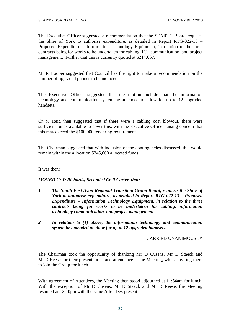The Executive Officer suggested a recommendation that the SEARTG Board requests the Shire of York to authorise expenditure, as detailed in Report RTG-022-13 – Proposed Expenditure – Information Technology Equipment, in relation to the three contracts being for works to be undertaken for cabling, ICT communication, and project management. Further that this is currently quoted at \$214,667.

Mr R Hooper suggested that Council has the right to make a recommendation on the number of upgraded phones to be included.

The Executive Officer suggested that the motion include that the information technology and communication system be amended to allow for up to 12 upgraded handsets.

Cr M Reid then suggested that if there were a cabling cost blowout, there were sufficient funds available to cover this, with the Executive Officer raising concern that this may exceed the \$100,000 tendering requirement.

The Chairman suggested that with inclusion of the contingencies discussed, this would remain within the allocation \$245,000 allocated funds.

It was then:

*MOVED Cr D Richards, Seconded Cr R Carter, that:* 

- *1. The South East Avon Regional Transition Group Board, requests the Shire of York to authorise expenditure, as detailed in Report RTG-022-13 – Proposed Expenditure – Information Technology Equipment, in relation to the three contracts being for works to be undertaken for cabling, information technology communication, and project management.*
- *2. In relation to (1) above, the information technology and communication system be amended to allow for up to 12 upgraded handsets.*

# CARRIED UNANIMOUSLY

The Chairman took the opportunity of thanking Mr D Cusens, Mr D Staeck and Mr D Reese for their presentations and attendance at the Meeting, whilst inviting them to join the Group for lunch.

With agreement of Attendees, the Meeting then stood adjourned at 11:54am for lunch. With the exception of Mr D Cusens, Mr D Staeck and Mr D Reese, the Meeting resumed at 12:40pm with the same Attendees present.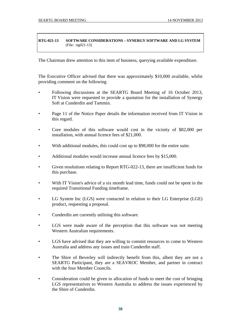#### **RTG-021-13 SOFTWARE CONSIDERATIONS – SYNERGY SOFTWARE AND LG SYSTEM**  (File: rtg021-13)

The Chairman drew attention to this item of business, querying available expenditure.

The Executive Officer advised that there was approximately \$10,000 available, whilst providing comment on the following

- Following discussions at the SEARTG Board Meeting of 16 October 2013, IT Vision were requested to provide a quotation for the installation of Synergy Soft at Cunderdin and Tammin.
- Page 11 of the Notice Paper details the information received from IT Vision in this regard.
- Core modules of this software would cost in the vicinity of \$82,000 per installation, with annual licence fees of \$21,000.
- With additional modules, this could cost up to \$98,000 for the entire suite.
- Additional modules would increase annual licence fees by \$15,000.
- Given resolutions relating to Report RTG-022-13, there are insufficient funds for this purchase.
- With IT Vision's advice of a six month lead time, funds could not be spent in the required Transitional Funding timeframe.
- LG System Inc (LGS) were contacted in relation to their LG Enterprise (LGE) product, requesting a proposal.
- Cunderdin are currently utilising this software.
- LGS were made aware of the perception that this software was not meeting Western Australian requirements.
- LGS have advised that they are willing to commit resources to come to Western Australia and address any issues and train Cunderdin staff.
- The Shire of Beverley will indirectly benefit from this, albeit they are not a SEARTG Participant, they are a SEAVROC Member, and partner in contract with the four Member Councils.
- Consideration could be given to allocation of funds to meet the cost of bringing LGS representatives to Western Australia to address the issues experienced by the Shire of Cunderdin.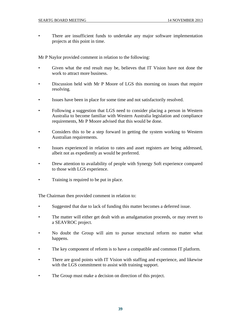There are insufficient funds to undertake any major software implementation projects at this point in time.

Mr P Naylor provided comment in relation to the following:

- Given what the end result may be, believes that IT Vision have not done the work to attract more business.
- Discussion held with Mr P Moore of LGS this morning on issues that require resolving.
- Issues have been in place for some time and not satisfactorily resolved.
- Following a suggestion that LGS need to consider placing a person in Western Australia to become familiar with Western Australia legislation and compliance requirements, Mr P Moore advised that this would be done.
- Considers this to be a step forward in getting the system working to Western Australian requirements.
- Issues experienced in relation to rates and asset registers are being addressed, albeit not as expediently as would be preferred.
- Drew attention to availability of people with Synergy Soft experience compared to those with LGS experience.
- Training is required to be put in place.

The Chairman then provided comment in relation to:

- Suggested that due to lack of funding this matter becomes a deferred issue.
- The matter will either get dealt with as amalgamation proceeds, or may revert to a SEAVROC project.
- No doubt the Group will aim to pursue structural reform no matter what happens.
- The key component of reform is to have a compatible and common IT platform.
- There are good points with IT Vision with staffing and experience, and likewise with the LGS commitment to assist with training support.
- The Group must make a decision on direction of this project.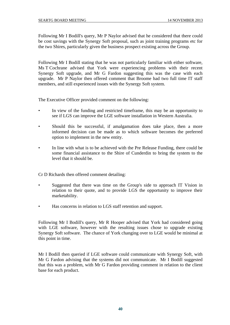Following Mr I Bodill's query, Mr P Naylor advised that he considered that there could be cost savings with the Synergy Soft proposal, such as joint training programs etc for the two Shires, particularly given the business prospect existing across the Group.

Following Mr I Bodill stating that he was not particularly familiar with either software, Ms T Cochrane advised that York were experiencing problems with their recent Synergy Soft upgrade, and Mr G Fardon suggesting this was the case with each upgrade. Mr P Naylor then offered comment that Broome had two full time IT staff members, and still experienced issues with the Synergy Soft system.

The Executive Officer provided comment on the following:

- In view of the funding and restricted timeframe, this may be an opportunity to see if LGS can improve the LGE software installation in Western Australia.
- Should this be successful, if amalgamation does take place, then a more informed decision can be made as to which software becomes the preferred option to implement in the new entity.
- In line with what is to be achieved with the Pre Release Funding, there could be some financial assistance to the Shire of Cunderdin to bring the system to the level that it should be.

Cr D Richards then offered comment detailing:

- Suggested that there was time on the Group's side to approach IT Vision in relation to their quote, and to provide LGS the opportunity to improve their marketability.
- Has concerns in relation to LGS staff retention and support.

Following Mr I Bodill's query, Mr R Hooper advised that York had considered going with LGE software, however with the resulting issues chose to upgrade existing Synergy Soft software. The chance of York changing over to LGE would be minimal at this point in time.

Mr I Bodill then queried if LGE software could communicate with Synergy Soft, with Mr G Fardon advising that the systems did not communicate. Mr I Bodill suggested that this was a problem, with Mr G Fardon providing comment in relation to the client base for each product.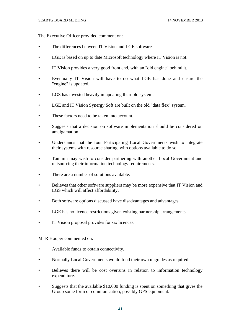The Executive Officer provided comment on:

- The differences between IT Vision and LGE software.
- LGE is based on up to date Microsoft technology where IT Vision is not.
- IT Vision provides a very good front end, with an "old engine" behind it.
- Eventually IT Vision will have to do what LGE has done and ensure the "engine" is updated.
- LGS has invested heavily in updating their old system.
- LGE and IT Vision Synergy Soft are built on the old "data flex" system.
- These factors need to be taken into account.
- Suggests that a decision on software implementation should be considered on amalgamation.
- Understands that the four Participating Local Governments wish to integrate their systems with resource sharing, with options available to do so.
- Tammin may wish to consider partnering with another Local Government and outsourcing their information technology requirements.
- There are a number of solutions available.
- Believes that other software suppliers may be more expensive that IT Vision and LGS which will affect affordability.
- Both software options discussed have disadvantages and advantages.
- LGE has no licence restrictions given existing partnership arrangements.
- IT Vision proposal provides for six licences.

Mr R Hooper commented on:

- Available funds to obtain connectivity.
- Normally Local Governments would fund their own upgrades as required.
- Believes there will be cost overruns in relation to information technology expenditure.
- Suggests that the available \$10,000 funding is spent on something that gives the Group some form of communication, possibly GPS equipment.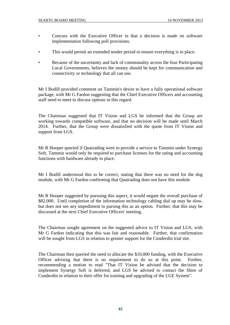- Concurs with the Executive Officer in that a decision is made on software implementation following poll provisions.
- This would permit an extended tender period to ensure everything is in place.
- Because of the uncertainty and lack of commonality across the four Participating Local Governments, believes the money should be kept for communication and connectivity or technology that all can use.

Mr I Bodill provided comment on Tammin's desire to have a fully operational software package, with Mr G Fardon suggesting that the Chief Executive Officers and accounting staff need to meet to discuss options in this regard.

The Chairman suggested that IT Vision and LGS be informed that the Group are working towards compatible software, and that no decision will be made until March 2014. Further, that the Group were dissatisfied with the quote from IT Vision and support from LGS.

Mr R Hooper queried if Quairading were to provide a service to Tammin under Synergy Soft, Tammin would only be required to purchase licenses for the rating and accounting functions with hardware already in place.

Mr I Bodill understood this to be correct, stating that there was no need for the dog module, with Mr G Fardon confirming that Quairading does not have this module.

Mr R Hooper suggested by pursuing this aspect, it would negate the overall purchase of \$82,000. Until completion of the information technology cabling dial up may be slow, but does not see any impediment to pursing this as an option. Further, that this may be discussed at the next Chief Executive Officers' meeting.

The Chairman sought agreement on the suggested advice to IT Vision and LGS, with Mr G Fardon indicating that this was fair and reasonable. Further, that confirmation will be sought from LGS in relation to greater support for the Cunderdin trial site.

The Chairman then queried the need to allocate the \$10,000 funding, with the Executive Officer advising that there is no requirement to do so at this point. Further, recommending a motion to read "That IT Vision be advised that the decision to implement Synergy Soft is deferred, and LGS be advised to contact the Shire of Cunderdin in relation to their offer for training and upgrading of the LGE System".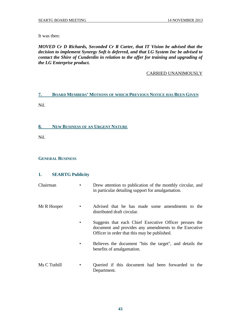It was then:

*MOVED Cr D Richards, Seconded Cr R Carter, that IT Vision be advised that the decision to implement Synergy Soft is deferred, and that LG System Inc be advised to contact the Shire of Cunderdin in relation to the offer for training and upgrading of the LG Enterprise product.* 

# CARRIED UNANIMOUSLY

# **7. BOARD MEMBERS' MOTIONS OF WHICH PREVIOUS NOTICE HAS BEEN GIVEN**

Nil.

# **8. NEW BUSINESS OF AN URGENT NATURE**

Nil.

# **GENERAL BUSINESS**

# **1. SEARTG Publicity**

| Chairman | Drew attention to publication of the monthly circular, and |
|----------|------------------------------------------------------------|
|          | in particular detailing support for amalgamation.          |

- Mr R Hooper Advised that he has made some amendments to the distributed draft circular.
	- Suggests that each Chief Executive Officer peruses the document and provides any amendments to the Executive Officer in order that this may be published.
	- Believes the document "hits the target", and details the benefits of amalgamation.
- Ms C Tuthill Queried if this document had been forwarded to the Department.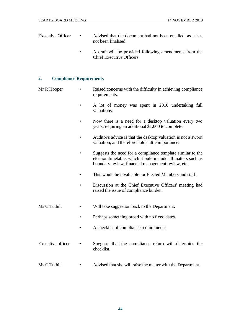- Executive Officer Advised that the document had not been emailed, as it has not been finalised.
	- A draft will be provided following amendments from the Chief Executive Officers.

# **2. Compliance Requirements**

- Mr R Hooper Raised concerns with the difficulty in achieving compliance requirements.
	- A lot of money was spent in 2010 undertaking full valuations.
	- Now there is a need for a desktop valuation every two years, requiring an additional \$1,600 to complete.
	- Auditor's advice is that the desktop valuation is not a sworn valuation, and therefore holds little importance.
	- Suggests the need for a compliance template similar to the election timetable, which should include all matters such as boundary review, financial management review, etc.
	- This would be invaluable for Elected Members and staff.
	- Discussion at the Chief Executive Officers' meeting had raised the issue of compliance burden.
- Ms C Tuthill Will take suggestion back to the Department.
	- Perhaps something broad with no fixed dates.
	- A checklist of compliance requirements.
- Executive officer Suggests that the compliance return will determine the checklist.
- Ms C Tuthill Advised that she will raise the matter with the Department.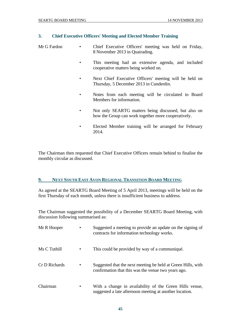# **3. Chief Executive Officers' Meeting and Elected Member Training**

- Mr G Fardon Chief Executive Officers' meeting was held on Friday, 8 November 2013 in Quairading.
	- This meeting had an extensive agenda, and included cooperative matters being worked on.
	- Next Chief Executive Officers' meeting will be held on Thursday, 5 December 2013 in Cunderdin.
	- Notes from each meeting will be circulated to Board Members for information.
	- Not only SEARTG matters being discussed, but also on how the Group can work together more cooperatively.
	- Elected Member training will be arranged for February 2014.

The Chairman then requested that Chief Executive Officers remain behind to finalise the monthly circular as discussed.

# **9. NEXT SOUTH EAST AVON REGIONAL TRANSITION BOARD MEETING**

As agreed at the SEARTG Board Meeting of 5 April 2013, meetings will be held on the first Thursday of each month, unless there is insufficient business to address.

The Chairman suggested the possibility of a December SEARTG Board Meeting, with discussion following summarised as:

| Mr R Hooper   |           | Suggested a meeting to provide an update on the signing of<br>contracts for information technology works.           |
|---------------|-----------|---------------------------------------------------------------------------------------------------------------------|
| Ms C Tuthill  |           | This could be provided by way of a communiqué.                                                                      |
| Cr D Richards | $\bullet$ | Suggested that the next meeting be held at Green Hills, with<br>confirmation that this was the venue two years ago. |
| Chairman      | $\bullet$ | With a change in availability of the Green Hills venue,<br>suggested a late afternoon meeting at another location.  |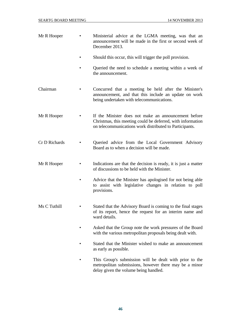| Mr R Hooper   | Ministerial advice at the LGMA meeting, was that an<br>announcement will be made in the first or second week of<br>December 2013.                                              |
|---------------|--------------------------------------------------------------------------------------------------------------------------------------------------------------------------------|
|               | Should this occur, this will trigger the poll provision.                                                                                                                       |
|               | Queried the need to schedule a meeting within a week of<br>the announcement.                                                                                                   |
| Chairman      | Concurred that a meeting be held after the Minister's<br>announcement, and that this include an update on work<br>being undertaken with telecommunications.                    |
| Mr R Hooper   | If the Minister does not make an announcement before<br>Christmas, this meeting could be deferred, with information<br>on telecommunications work distributed to Participants. |
| Cr D Richards | Queried advice from the Local Government Advisory<br>Board as to when a decision will be made.                                                                                 |
| Mr R Hooper   | Indications are that the decision is ready, it is just a matter<br>of discussions to be held with the Minister.                                                                |
|               | Advice that the Minister has apologised for not being able<br>to assist with legislative changes in relation to poll<br>provisions.                                            |
| Ms C Tuthill  | Stated that the Advisory Board is coming to the final stages<br>of its report, hence the request for an interim name and<br>ward details.                                      |
|               | Asked that the Group note the work pressures of the Board<br>with the various metropolitan proposals being dealt with.                                                         |
|               | Stated that the Minister wished to make an announcement<br>as early as possible.                                                                                               |
|               | This Group's submission will be dealt with prior to the<br>metropolitan submissions, however there may be a minor<br>delay given the volume being handled.                     |